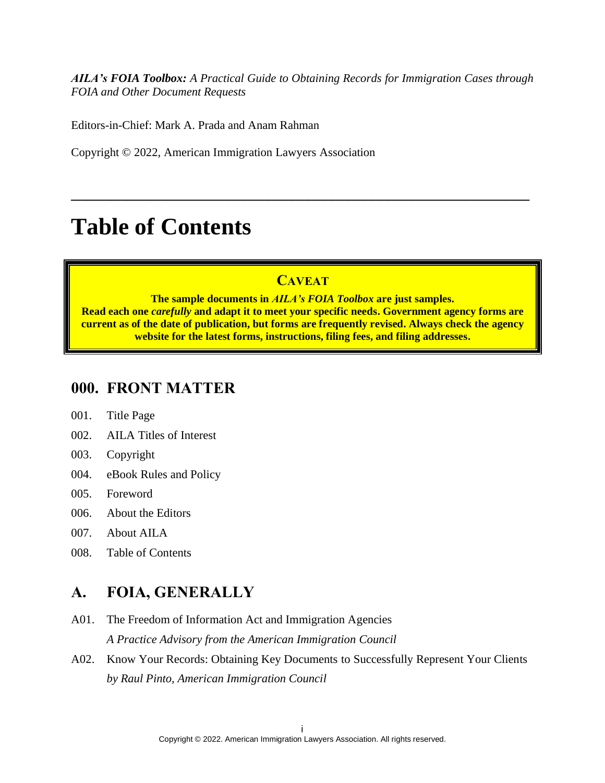*AILA's FOIA Toolbox: A Practical Guide to Obtaining Records for Immigration Cases through FOIA and Other Document Requests*

Editors-in-Chief: Mark A. Prada and Anam Rahman

Copyright © 2022, American Immigration Lawyers Association

# **Table of Contents**

## **CAVEAT**

**\_\_\_\_\_\_\_\_\_\_\_\_\_\_\_\_\_\_\_\_\_\_\_\_\_\_\_\_\_\_\_\_\_\_\_\_\_\_\_\_\_\_\_\_\_\_\_\_\_\_\_\_\_\_\_\_\_\_**

**The sample documents in** *AILA's FOIA Toolbox* **are just samples. Read each one** *carefully* **and adapt it to meet your specific needs. Government agency forms are current as of the date of publication, but forms are frequently revised. Always check the agency website for the latest forms, instructions, filing fees, and filing addresses.** 

### **000. FRONT MATTER**

- 001. Title Page
- 002. AILA Titles of Interest
- 003. Copyright
- 004. eBook Rules and Policy
- 005. Foreword
- 006. About the Editors
- 007. About AILA
- 008. Table of Contents

### **A. FOIA, GENERALLY**

- A01. The Freedom of Information Act and Immigration Agencies *A Practice Advisory from the American Immigration Council*
- A02. Know Your Records: Obtaining Key Documents to Successfully Represent Your Clients *by Raul Pinto, American Immigration Council*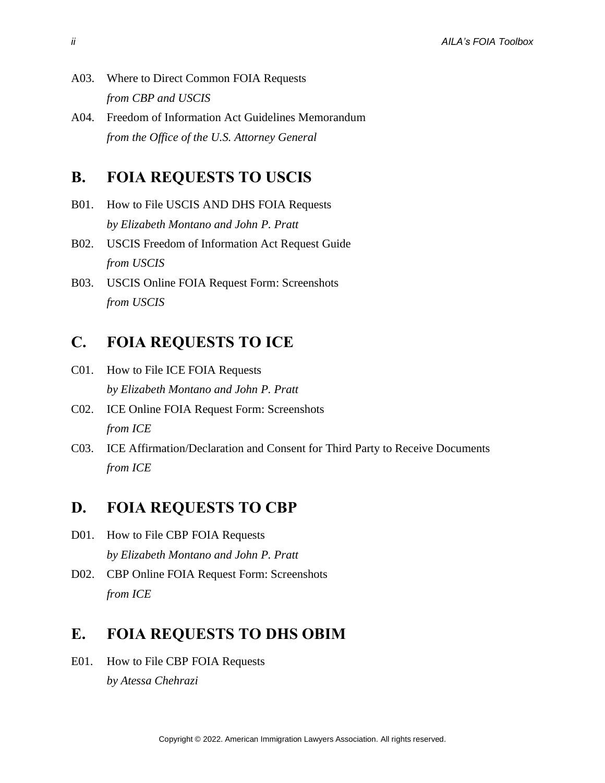- A03. Where to Direct Common FOIA Requests *from CBP and USCIS*
- A04. Freedom of Information Act Guidelines Memorandum *from the Office of the U.S. Attorney General*

#### **B. FOIA REQUESTS TO USCIS**

- B01. How to File USCIS AND DHS FOIA Requests *by Elizabeth Montano and John P. Pratt*
- B02. USCIS Freedom of Information Act Request Guide *from USCIS*
- B03. USCIS Online FOIA Request Form: Screenshots *from USCIS*

## **C. FOIA REQUESTS TO ICE**

- C01. How to File ICE FOIA Requests *by Elizabeth Montano and John P. Pratt*
- C02. ICE Online FOIA Request Form: Screenshots *from ICE*
- C03. ICE Affirmation/Declaration and Consent for Third Party to Receive Documents *from ICE*

#### **D. FOIA REQUESTS TO CBP**

- D01. How to File CBP FOIA Requests *by Elizabeth Montano and John P. Pratt*
- D02. CBP Online FOIA Request Form: Screenshots *from ICE*

### **E. FOIA REQUESTS TO DHS OBIM**

E01. How to File CBP FOIA Requests *by Atessa Chehrazi*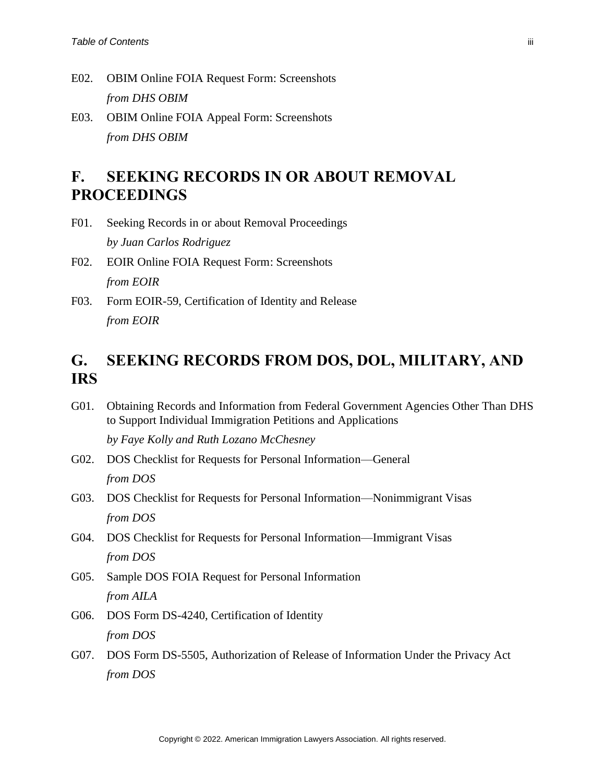- E02. OBIM Online FOIA Request Form: Screenshots *from DHS OBIM*
- E03. OBIM Online FOIA Appeal Form: Screenshots *from DHS OBIM*

# **F. SEEKING RECORDS IN OR ABOUT REMOVAL PROCEEDINGS**

- F01. Seeking Records in or about Removal Proceedings *by Juan Carlos Rodriguez*
- F02. EOIR Online FOIA Request Form: Screenshots *from EOIR*
- F03. Form EOIR-59, Certification of Identity and Release *from EOIR*

# **G. SEEKING RECORDS FROM DOS, DOL, MILITARY, AND IRS**

G01. Obtaining Records and Information from Federal Government Agencies Other Than DHS to Support Individual Immigration Petitions and Applications

*by Faye Kolly and Ruth Lozano McChesney*

- G02. DOS Checklist for Requests for Personal Information—General *from DOS*
- G03. DOS Checklist for Requests for Personal Information—Nonimmigrant Visas *from DOS*
- G04. DOS Checklist for Requests for Personal Information—Immigrant Visas *from DOS*
- G05. Sample DOS FOIA Request for Personal Information *from AILA*
- G06. DOS Form DS-4240, Certification of Identity *from DOS*
- G07. DOS Form DS-5505, Authorization of Release of Information Under the Privacy Act *from DOS*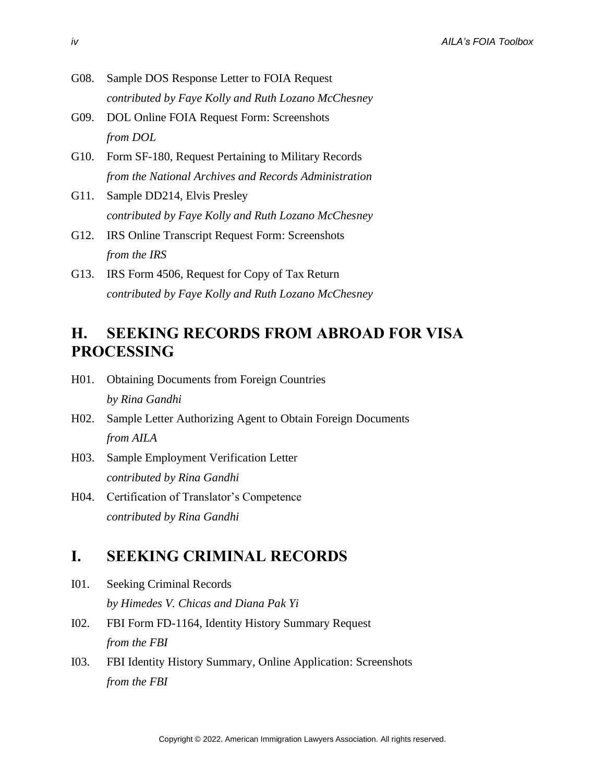- G08. Sample DOS Response Letter to FOIA Request *contributed by Faye Kolly and Ruth Lozano McChesney*
- G09. DOL Online FOIA Request Form: Screenshots *from DOL*
- G10. Form SF-180, Request Pertaining to Military Records *from the National Archives and Records Administration*
- G11. Sample DD214, Elvis Presley *contributed by Faye Kolly and Ruth Lozano McChesney*
- G12. IRS Online Transcript Request Form: Screenshots *from the IRS*
- G13. IRS Form 4506, Request for Copy of Tax Return *contributed by Faye Kolly and Ruth Lozano McChesney*

# **H. SEEKING RECORDS FROM ABROAD FOR VISA PROCESSING**

- H01. Obtaining Documents from Foreign Countries *by Rina Gandhi*
- H02. Sample Letter Authorizing Agent to Obtain Foreign Documents *from AILA*
- H03. Sample Employment Verification Letter *contributed by Rina Gandhi*
- H04. Certification of Translator's Competence *contributed by Rina Gandhi*

### **I. SEEKING CRIMINAL RECORDS**

- I01. Seeking Criminal Records *by Himedes V. Chicas and Diana Pak Yi*
- I02. FBI Form FD-1164, Identity History Summary Request *from the FBI*
- I03. FBI Identity History Summary, Online Application: Screenshots *from the FBI*